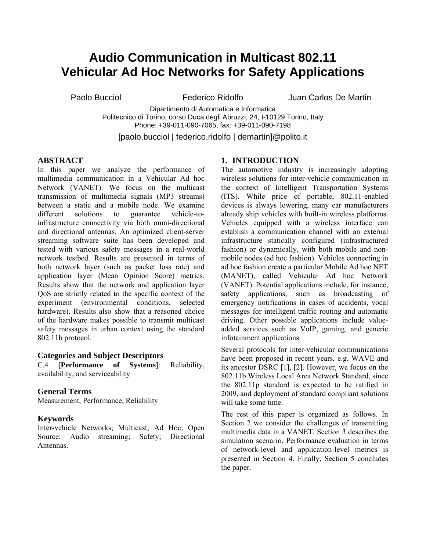# **Audio Communication in Multicast 802.11 Vehicular Ad Hoc Networks for Safety Applications**

Paolo Bucciol Federico Ridolfo Juan Carlos De Martin

Dipartimento di Automatica e Informatica Politecnico di Torino, corso Duca degli Abruzzi, 24, I-10129 Torino, Italy Phone: +39-011-090-7065, fax: +39-011-090-7198

[paolo.bucciol | federico.ridolfo | demartin]@polito.it

# **ABSTRACT**

In this paper we analyze the performance of multimedia communication in a Vehicular Ad hoc Network (VANET). We focus on the multicast transmission of multimedia signals (MP3 streams) between a static and a mobile node. We examine different solutions to guarantee vehicle-toinfrastructure connectivity via both omni-directional and directional antennas. An optimized client-server streaming software suite has been developed and tested with various safety messages in a real-world network testbed. Results are presented in terms of both network layer (such as packet loss rate) and application layer (Mean Opinion Score) metrics. Results show that the network and application layer QoS are strictly related to the specific context of the experiment (environmental conditions, selected hardware). Results also show that a reasoned choice of the hardware makes possible to transmit multicast safety messages in urban context using the standard 802.11b protocol.

# **Categories and Subject Descriptors**

C.4 [**Performance of Systems**]: Reliability, availability, and serviceability

#### **General Terms**

Measurement, Performance, Reliability

#### **Keywords**

Inter-vehicle Networks; Multicast; Ad Hoc; Open Source; Audio streaming; Safety; Directional Antennas.

# **1. INTRODUCTION**

The automotive industry is increasingly adopting wireless solutions for inter-vehicle communication in the context of Intelligent Transportation Systems (ITS). While price of portable, 802.11-enabled devices is always lowering, many car manufacturers already ship vehicles with built-in wireless platforms. Vehicles equipped with a wireless interface can establish a communication channel with an external infrastructure statically configured (infrastructured fashion) or dynamically, with both mobile and nonmobile nodes (ad hoc fashion). Vehicles connecting in ad hoc fashion create a particular Mobile Ad hoc NET (MANET), called Vehicular Ad hoc Network (VANET). Potential applications include, for instance, safety applications, such as broadcasting of emergency notifications in cases of accidents, vocal messages for intelligent traffic routing and automatic driving. Other possible applications include valueadded services such as VoIP, gaming, and generic infotainment applications.

Several protocols for inter-vehicular communications have been proposed in recent years, e.g. WAVE and its ancestor DSRC [1], [2]. However, we focus on the 802.11b Wireless Local Area Network Standard, since the 802.11p standard is expected to be ratified in 2009, and deployment of standard compliant solutions will take some time.

The rest of this paper is organized as follows. In Section 2 we consider the challenges of transmitting multimedia data in a VANET. Section 3 describes the simulation scenario. Performance evaluation in terms of network-level and application-level metrics is presented in Section 4. Finally, Section 5 concludes the paper.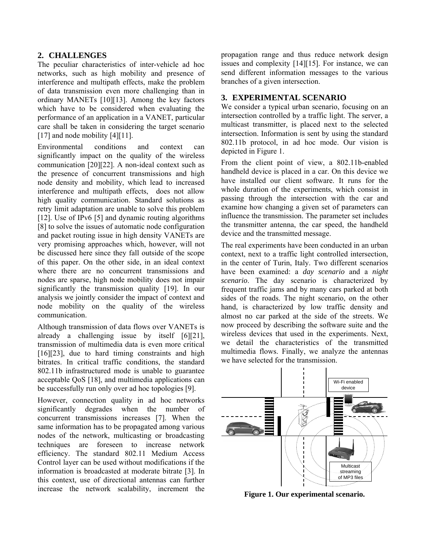# **2. CHALLENGES**

The peculiar characteristics of inter-vehicle ad hoc networks, such as high mobility and presence of interference and multipath effects, make the problem of data transmission even more challenging than in ordinary MANETs [10][13]. Among the key factors which have to be considered when evaluating the performance of an application in a VANET, particular care shall be taken in considering the target scenario [17] and node mobility [4][11].

Environmental conditions and context can significantly impact on the quality of the wireless communication [20][22]. A non-ideal context such as the presence of concurrent transmissions and high node density and mobility, which lead to increased interference and multipath effects, does not allow high quality communication. Standard solutions as retry limit adaptation are unable to solve this problem [12]. Use of IPv6 [5] and dynamic routing algorithms [8] to solve the issues of automatic node configuration and packet routing issue in high density VANETs are very promising approaches which, however, will not be discussed here since they fall outside of the scope of this paper. On the other side, in an ideal context where there are no concurrent transmissions and nodes are sparse, high node mobility does not impair significantly the transmission quality [19]. In our analysis we jointly consider the impact of context and node mobility on the quality of the wireless communication.

Although transmission of data flows over VANETs is already a challenging issue by itself [6][21], transmission of multimedia data is even more critical [16][23], due to hard timing constraints and high bitrates. In critical traffic conditions, the standard 802.11b infrastructured mode is unable to guarantee acceptable QoS [18], and multimedia applications can be successfully run only over ad hoc topologies [9].

However, connection quality in ad hoc networks significantly degrades when the number of concurrent transmissions increases [7]. When the same information has to be propagated among various nodes of the network, multicasting or broadcasting techniques are foreseen to increase network efficiency. The standard 802.11 Medium Access Control layer can be used without modifications if the information is broadcasted at moderate bitrate [3]. In this context, use of directional antennas can further increase the network scalability, increment the

propagation range and thus reduce network design issues and complexity [14][15]. For instance, we can send different information messages to the various branches of a given intersection.

# **3. EXPERIMENTAL SCENARIO**

We consider a typical urban scenario, focusing on an intersection controlled by a traffic light. The server, a multicast transmitter, is placed next to the selected intersection. Information is sent by using the standard 802.11b protocol, in ad hoc mode. Our vision is depicted in Figure 1.

From the client point of view, a 802.11b-enabled handheld device is placed in a car. On this device we have installed our client software. It runs for the whole duration of the experiments, which consist in passing through the intersection with the car and examine how changing a given set of parameters can influence the transmission. The parameter set includes the transmitter antenna, the car speed, the handheld device and the transmitted message.

The real experiments have been conducted in an urban context, next to a traffic light controlled intersection, in the center of Turin, Italy. Two different scenarios have been examined: a *day scenario* and a *night scenario*. The day scenario is characterized by frequent traffic jams and by many cars parked at both sides of the roads. The night scenario, on the other hand, is characterized by low traffic density and almost no car parked at the side of the streets. We now proceed by describing the software suite and the wireless devices that used in the experiments. Next, we detail the characteristics of the transmitted multimedia flows. Finally, we analyze the antennas we have selected for the transmission.



**Figure 1. Our experimental scenario.**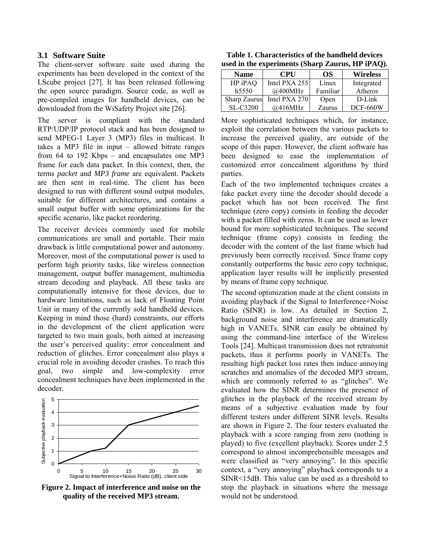# **3.1 Software Suite**

The client-server software suite used during the experiments has been developed in the context of the LScube project [27]. It has been released following the open source paradigm. Source code, as well as pre-compiled images for handheld devices, can be downloaded from the WiSafety Project site [26].

The server is compliant with the standard RTP/UDP/IP protocol stack and has been designed to send MPEG-1 Layer 3 (MP3) files in multicast. It takes a MP3 file in input – allowed bitrate ranges from 64 to 192 Kbps – and encapsulates one MP3 frame for each data packet. In this context, then, the terms *packet* and *MP3 frame* are equivalent. Packets are then sent in real-time. The client has been designed to run with different sound output modules, suitable for different architectures, and contains a small output buffer with some optimizations for the specific scenario, like packet reordering.

The receiver devices commonly used for mobile communications are small and portable. Their main drawback is little computational power and autonomy. Moreover, most of the computational power is used to perform high priority tasks, like wireless connection management, output buffer management, multimedia stream decoding and playback. All these tasks are computationally intensive for those devices, due to hardware limitations, such as lack of Floating Point Unit in many of the currently sold handheld devices. Keeping in mind those (hard) constraints, our efforts in the development of the client application were targeted to two main goals, both aimed at increasing the user's perceived quality: error concealment and reduction of glitches. Error concealment also plays a crucial role in avoiding decoder crashes. To reach this goal, two simple and low-complexity error concealment techniques have been implemented in the decoder.



**Figure 2. Impact of interference and noise on the quality of the received MP3 stream.** 

**Table 1. Characteristics of the handheld devices used in the experiments (Sharp Zaurus, HP iPAQ).** 

| <b>Name</b>         | <b>CPU</b>      | OS.      | <b>Wireless</b> |
|---------------------|-----------------|----------|-----------------|
| HP iPAQ             | Intel PXA $255$ | Linux    | Integrated      |
| h5550               | @400MHz         | Familiar | Atheros         |
| <b>Sharp Zaurus</b> | Intel PXA 270   | Open     | $D$ -Link       |
| SL-C3200            | @416MHz         | Zaurus   | <b>DCF-660W</b> |

More sophisticated techniques which, for instance, exploit the correlation between the various packets to increase the perceived quality, are outside of the scope of this paper. However, the client software has been designed to ease the implementation of customized error concealment algorithms by third parties.

Each of the two implemented techniques creates a fake packet every time the decoder should decode a packet which has not been received. The first technique (zero copy) consists in feeding the decoder with a packet filled with zeros. It can be used as lower bound for more sophisticated techniques. The second technique (frame copy) consists in feeding the decoder with the content of the last frame which had previously been correctly received. Since frame copy constantly outperforms the basic zero copy technique, application layer results will be implicitly presented by means of frame copy technique.

The second optimization made at the client consists in avoiding playback if the Signal to Interference+Noise Ratio (SINR) is low. As detailed in Section 2, background noise and interference are dramatically high in VANETs. SINR can easily be obtained by using the command-line interface of the Wireless Tools [24]. Multicast transmission does not retransmit packets, thus it performs poorly in VANETs. The resulting high packet loss rates then induce annoying scratches and anomalies of the decoded MP3 stream, which are commonly referred to as "glitches". We evaluated how the SINR determines the presence of glitches in the playback of the received stream by means of a subjective evaluation made by four different testers under different SINR levels. Results are shown in Figure 2. The four testers evaluated the playback with a score ranging from zero (nothing is played) to five (excellent playback). Scores under 2.5 correspond to almost incomprehensible messages and were classified as "very annoying". In this specific context, a "very annoying" playback corresponds to a SINR<15dB. This value can be used as a threshold to stop the playback in situations where the message would not be understood.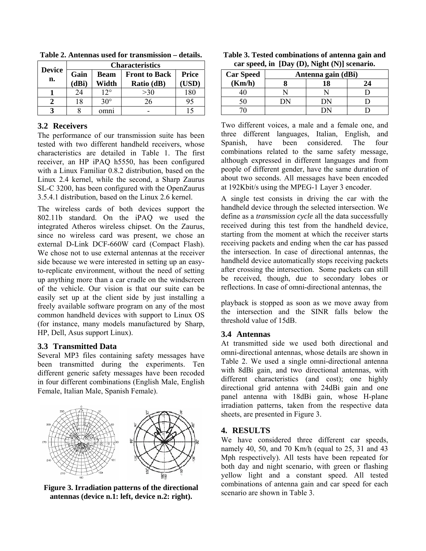| <b>Device</b> | <b>Characteristics</b> |              |                      |              |  |
|---------------|------------------------|--------------|----------------------|--------------|--|
| n.            | Gain                   | <b>Beam</b>  | <b>Front to Back</b> | <b>Price</b> |  |
|               | (dBi)                  | Width        | Ratio (dB)           | <b>USD</b> ) |  |
|               | 24                     | $12^{\circ}$ | >30                  | 180          |  |
|               | 18                     | $30^\circ$   | 26                   | 95           |  |
| 3             |                        | omni         |                      | 15           |  |

**Table 2. Antennas used for transmission – details.** 

# **3.2 Receivers**

The performance of our transmission suite has been tested with two different handheld receivers, whose characteristics are detailed in Table 1. The first receiver, an HP iPAQ h5550, has been configured with a Linux Familiar 0.8.2 distribution, based on the Linux 2.4 kernel, while the second, a Sharp Zaurus SL-C 3200, has been configured with the OpenZaurus 3.5.4.1 distribution, based on the Linux 2.6 kernel.

The wireless cards of both devices support the 802.11b standard. On the iPAQ we used the integrated Atheros wireless chipset. On the Zaurus, since no wireless card was present, we chose an external D-Link DCF-660W card (Compact Flash). We chose not to use external antennas at the receiver side because we were interested in setting up an easyto-replicate environment, without the need of setting up anything more than a car cradle on the windscreen of the vehicle. Our vision is that our suite can be easily set up at the client side by just installing a freely available software program on any of the most common handheld devices with support to Linux OS (for instance, many models manufactured by Sharp, HP, Dell, Asus support Linux).

# **3.3 Transmitted Data**

Several MP3 files containing safety messages have been transmitted during the experiments. Ten different generic safety messages have been recoded in four different combinations (English Male, English Female, Italian Male, Spanish Female).



**Figure 3. Irradiation patterns of the directional antennas (device n.1: left, device n.2: right).** 

| Table 3. Tested combinations of antenna gain and |
|--------------------------------------------------|
| car speed, in [Day (D), Night (N)] scenario.     |

| <b>Car Speed</b> | Antenna gain (dBi) |    |    |
|------------------|--------------------|----|----|
| (Km/h)           |                    |    | 24 |
|                  |                    |    |    |
|                  |                    | DΝ |    |
|                  |                    |    |    |

Two different voices, a male and a female one, and three different languages, Italian, English, and Spanish, have been considered. The four combinations related to the same safety message, although expressed in different languages and from people of different gender, have the same duration of about two seconds. All messages have been encoded at 192Kbit/s using the MPEG-1 Layer 3 encoder.

A single test consists in driving the car with the handheld device through the selected intersection. We define as a *transmission cycle* all the data successfully received during this test from the handheld device, starting from the moment at which the receiver starts receiving packets and ending when the car has passed the intersection. In case of directional antennas, the handheld device automatically stops receiving packets after crossing the intersection. Some packets can still be received, though, due to secondary lobes or reflections. In case of omni-directional antennas, the

playback is stopped as soon as we move away from the intersection and the SINR falls below the threshold value of 15dB.

# **3.4 Antennas**

At transmitted side we used both directional and omni-directional antennas, whose details are shown in Table 2. We used a single omni-directional antenna with 8dBi gain, and two directional antennas, with different characteristics (and cost); one highly directional grid antenna with 24dBi gain and one panel antenna with 18dBi gain, whose H-plane irradiation patterns, taken from the respective data sheets, are presented in Figure 3.

# **4. RESULTS**

We have considered three different car speeds, namely 40, 50, and 70 Km/h (equal to 25, 31 and 43 Mph respectively). All tests have been repeated for both day and night scenario, with green or flashing yellow light and a constant speed. All tested combinations of antenna gain and car speed for each scenario are shown in Table 3.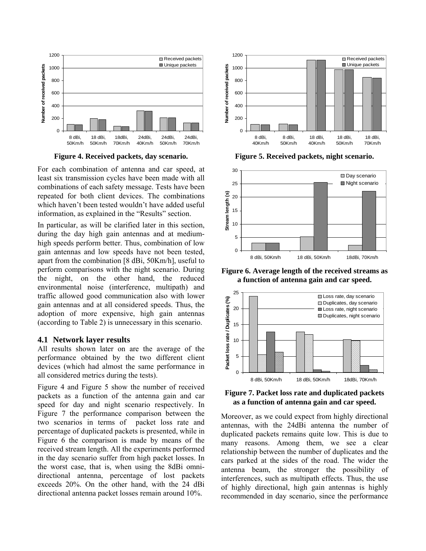

**Figure 4. Received packets, day scenario.** 

For each combination of antenna and car speed, at least six transmission cycles have been made with all combinations of each safety message. Tests have been repeated for both client devices. The combinations which haven't been tested wouldn't have added useful information, as explained in the "Results" section.

In particular, as will be clarified later in this section, during the day high gain antennas and at mediumhigh speeds perform better. Thus, combination of low gain antennas and low speeds have not been tested, apart from the combination [8 dBi, 50Km/h], useful to perform comparisons with the night scenario. During the night, on the other hand, the reduced environmental noise (interference, multipath) and traffic allowed good communication also with lower gain antennas and at all considered speeds. Thus, the adoption of more expensive, high gain antennas (according to Table 2) is unnecessary in this scenario.

#### **4.1 Network layer results**

All results shown later on are the average of the performance obtained by the two different client devices (which had almost the same performance in all considered metrics during the tests).

Figure 4 and Figure 5 show the number of received packets as a function of the antenna gain and car speed for day and night scenario respectively. In Figure 7 the performance comparison between the two scenarios in terms of packet loss rate and percentage of duplicated packets is presented, while in Figure 6 the comparison is made by means of the received stream length. All the experiments performed in the day scenario suffer from high packet losses. In the worst case, that is, when using the 8dBi omnidirectional antenna, percentage of lost packets exceeds 20%. On the other hand, with the 24 dBi directional antenna packet losses remain around 10%.



**Figure 5. Received packets, night scenario.** 



**Figure 6. Average length of the received streams as a function of antenna gain and car speed.** 



**Figure 7. Packet loss rate and duplicated packets as a function of antenna gain and car speed.** 

Moreover, as we could expect from highly directional antennas, with the 24dBi antenna the number of duplicated packets remains quite low. This is due to many reasons. Among them, we see a clear relationship between the number of duplicates and the cars parked at the sides of the road. The wider the antenna beam, the stronger the possibility of interferences, such as multipath effects. Thus, the use of highly directional, high gain antennas is highly recommended in day scenario, since the performance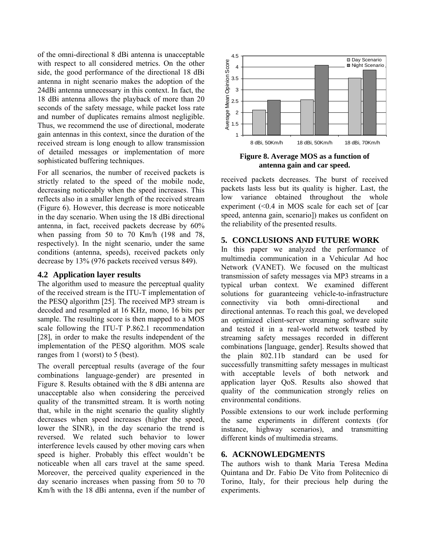of the omni-directional 8 dBi antenna is unacceptable with respect to all considered metrics. On the other side, the good performance of the directional 18 dBi antenna in night scenario makes the adoption of the 24dBi antenna unnecessary in this context. In fact, the 18 dBi antenna allows the playback of more than 20 seconds of the safety message, while packet loss rate and number of duplicates remains almost negligible. Thus, we recommend the use of directional, moderate gain antennas in this context, since the duration of the received stream is long enough to allow transmission of detailed messages or implementation of more sophisticated buffering techniques.

For all scenarios, the number of received packets is strictly related to the speed of the mobile node, decreasing noticeably when the speed increases. This reflects also in a smaller length of the received stream (Figure 6). However, this decrease is more noticeable in the day scenario. When using the 18 dBi directional antenna, in fact, received packets decrease by 60% when passing from 50 to 70 Km/h (198 and 78, respectively). In the night scenario, under the same conditions (antenna, speeds), received packets only decrease by 13% (976 packets received versus 849).

#### **4.2 Application layer results**

The algorithm used to measure the perceptual quality of the received stream is the ITU-T implementation of the PESQ algorithm [25]. The received MP3 stream is decoded and resampled at 16 KHz, mono, 16 bits per sample. The resulting score is then mapped to a MOS scale following the ITU-T P.862.1 recommendation [28], in order to make the results independent of the implementation of the PESQ algorithm. MOS scale ranges from 1 (worst) to 5 (best).

The overall perceptual results (average of the four combinations language-gender) are presented in Figure 8. Results obtained with the 8 dBi antenna are unacceptable also when considering the perceived quality of the transmitted stream. It is worth noting that, while in the night scenario the quality slightly decreases when speed increases (higher the speed, lower the SINR), in the day scenario the trend is reversed. We related such behavior to lower interference levels caused by other moving cars when speed is higher. Probably this effect wouldn't be noticeable when all cars travel at the same speed. Moreover, the perceived quality experienced in the day scenario increases when passing from 50 to 70 Km/h with the 18 dBi antenna, even if the number of



**Figure 8. Average MOS as a function of antenna gain and car speed.** 

received packets decreases. The burst of received packets lasts less but its quality is higher. Last, the low variance obtained throughout the whole experiment (<0.4 in MOS scale for each set of [car speed, antenna gain, scenario]) makes us confident on the reliability of the presented results.

# **5. CONCLUSIONS AND FUTURE WORK**

In this paper we analyzed the performance of multimedia communication in a Vehicular Ad hoc Network (VANET). We focused on the multicast transmission of safety messages via MP3 streams in a typical urban context. We examined different solutions for guaranteeing vehicle-to-infrastructure connectivity via both omni-directional and directional antennas. To reach this goal, we developed an optimized client-server streaming software suite and tested it in a real-world network testbed by streaming safety messages recorded in different combinations [language, gender]. Results showed that the plain 802.11b standard can be used for successfully transmitting safety messages in multicast with acceptable levels of both network and application layer QoS. Results also showed that quality of the communication strongly relies on environmental conditions.

Possible extensions to our work include performing the same experiments in different contexts (for instance, highway scenarios), and transmitting different kinds of multimedia streams.

# **6. ACKNOWLEDGMENTS**

The authors wish to thank Maria Teresa Medina Quintana and Dr. Fabio De Vito from Politecnico di Torino, Italy, for their precious help during the experiments.